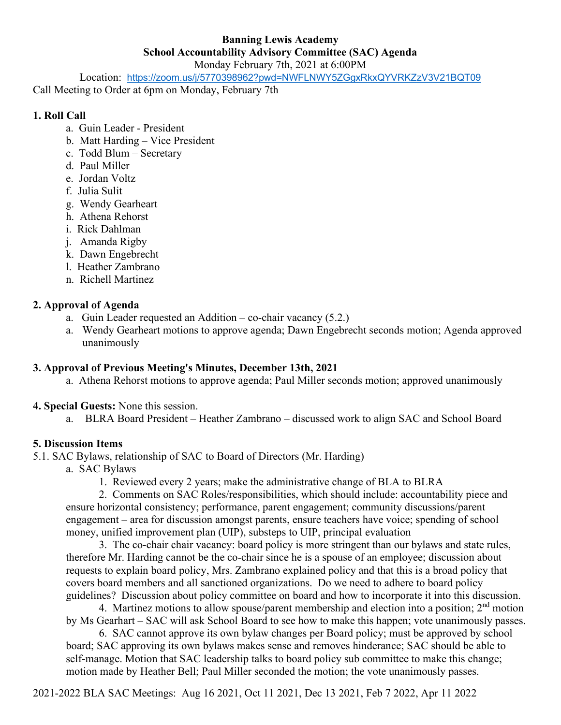# **Banning Lewis Academy School Accountability Advisory Committee (SAC) Agenda**

Monday February 7th, 2021 at 6:00PM

Location: <https://zoom.us/j/5770398962?pwd=NWFLNWY5ZGgxRkxQYVRKZzV3V21BQT09>

Call Meeting to Order at 6pm on Monday, February 7th

### **1. Roll Call**

- a. Guin Leader President
- b. Matt Harding Vice President
- c. Todd Blum Secretary
- d. Paul Miller
- e. Jordan Voltz
- f. Julia Sulit
- g. Wendy Gearheart
- h. Athena Rehorst
- i. Rick Dahlman
- j. Amanda Rigby
- k. Dawn Engebrecht
- l. Heather Zambrano
- n. Richell Martinez

# **2. Approval of Agenda**

- a. Guin Leader requested an Addition co-chair vacancy (5.2.)
- a. Wendy Gearheart motions to approve agenda; Dawn Engebrecht seconds motion; Agenda approved unanimously

# **3. Approval of Previous Meeting's Minutes, December 13th, 2021**

- a. Athena Rehorst motions to approve agenda; Paul Miller seconds motion; approved unanimously
- **4. Special Guests:** None this session.
	- a. BLRA Board President Heather Zambrano discussed work to align SAC and School Board

# **5. Discussion Items**

5.1. SAC Bylaws, relationship of SAC to Board of Directors (Mr. Harding)

- a. SAC Bylaws
	- 1. Reviewed every 2 years; make the administrative change of BLA to BLRA

2. Comments on SAC Roles/responsibilities, which should include: accountability piece and ensure horizontal consistency; performance, parent engagement; community discussions/parent engagement – area for discussion amongst parents, ensure teachers have voice; spending of school money, unified improvement plan (UIP), substeps to UIP, principal evaluation

3. The co-chair chair vacancy: board policy is more stringent than our bylaws and state rules, therefore Mr. Harding cannot be the co-chair since he is a spouse of an employee; discussion about requests to explain board policy, Mrs. Zambrano explained policy and that this is a broad policy that covers board members and all sanctioned organizations. Do we need to adhere to board policy guidelines? Discussion about policy committee on board and how to incorporate it into this discussion.

4. Martinez motions to allow spouse/parent membership and election into a position;  $2<sup>nd</sup>$  motion by Ms Gearhart – SAC will ask School Board to see how to make this happen; vote unanimously passes.

6. SAC cannot approve its own bylaw changes per Board policy; must be approved by school board; SAC approving its own bylaws makes sense and removes hinderance; SAC should be able to self-manage. Motion that SAC leadership talks to board policy sub committee to make this change; motion made by Heather Bell; Paul Miller seconded the motion; the vote unanimously passes.